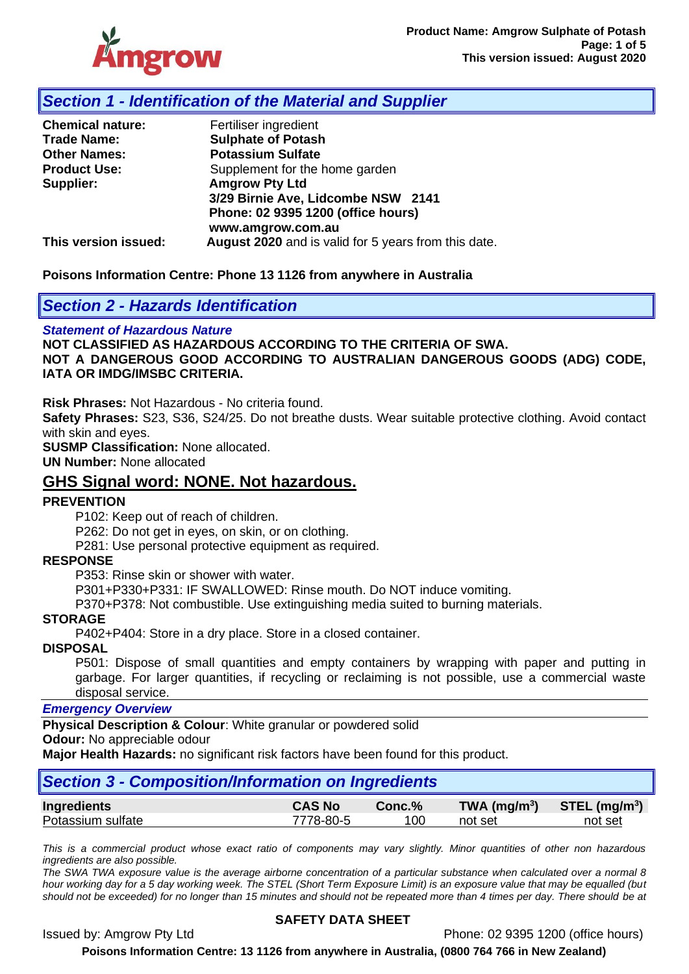

## *Section 1 - Identification of the Material and Supplier*

| <b>Chemical nature:</b> | Fertiliser ingredient                                |  |  |  |
|-------------------------|------------------------------------------------------|--|--|--|
| <b>Trade Name:</b>      | <b>Sulphate of Potash</b>                            |  |  |  |
| <b>Other Names:</b>     | <b>Potassium Sulfate</b>                             |  |  |  |
| <b>Product Use:</b>     | Supplement for the home garden                       |  |  |  |
| Supplier:               | <b>Amgrow Pty Ltd</b>                                |  |  |  |
|                         | 3/29 Birnie Ave, Lidcombe NSW 2141                   |  |  |  |
|                         | Phone: 02 9395 1200 (office hours)                   |  |  |  |
|                         | www.amgrow.com.au                                    |  |  |  |
| This version issued:    | August 2020 and is valid for 5 years from this date. |  |  |  |

#### **Poisons Information Centre: Phone 13 1126 from anywhere in Australia**

## *Section 2 - Hazards Identification*

#### *Statement of Hazardous Nature*

**NOT CLASSIFIED AS HAZARDOUS ACCORDING TO THE CRITERIA OF SWA. NOT A DANGEROUS GOOD ACCORDING TO AUSTRALIAN DANGEROUS GOODS (ADG) CODE, IATA OR IMDG/IMSBC CRITERIA.**

**Risk Phrases:** Not Hazardous - No criteria found.

**Safety Phrases:** S23, S36, S24/25. Do not breathe dusts. Wear suitable protective clothing. Avoid contact with skin and eyes.

**SUSMP Classification:** None allocated.

**UN Number:** None allocated

## **GHS Signal word: NONE. Not hazardous.**

#### **PREVENTION**

P102: Keep out of reach of children.

P262: Do not get in eyes, on skin, or on clothing.

P281: Use personal protective equipment as required.

#### **RESPONSE**

P353: Rinse skin or shower with water.

P301+P330+P331: IF SWALLOWED: Rinse mouth. Do NOT induce vomiting.

P370+P378: Not combustible. Use extinguishing media suited to burning materials.

#### **STORAGE**

P402+P404: Store in a dry place. Store in a closed container.

#### **DISPOSAL**

P501: Dispose of small quantities and empty containers by wrapping with paper and putting in garbage. For larger quantities, if recycling or reclaiming is not possible, use a commercial waste disposal service.

#### *Emergency Overview*

**Physical Description & Colour**: White granular or powdered solid

**Odour:** No appreciable odour

**Major Health Hazards:** no significant risk factors have been found for this product.

| Section 3 - Composition/Information on Ingredients |               |        |                 |                             |  |  |
|----------------------------------------------------|---------------|--------|-----------------|-----------------------------|--|--|
| <b>Ingredients</b>                                 | <b>CAS No</b> | Conc.% | TWA ( $mg/m3$ ) | $STEL$ (mg/m <sup>3</sup> ) |  |  |
| Potassium sulfate                                  | 7778-80-5     | 100    | not set         | not set                     |  |  |

*This is a commercial product whose exact ratio of components may vary slightly. Minor quantities of other non hazardous ingredients are also possible.*

*The SWA TWA exposure value is the average airborne concentration of a particular substance when calculated over a normal 8 hour working day for a 5 day working week. The STEL (Short Term Exposure Limit) is an exposure value that may be equalled (but should not be exceeded) for no longer than 15 minutes and should not be repeated more than 4 times per day. There should be at* 

#### **SAFETY DATA SHEET**

Issued by: Amgrow Pty Ltd Phone: 02 9395 1200 (office hours)

**Poisons Information Centre: 13 1126 from anywhere in Australia, (0800 764 766 in New Zealand)**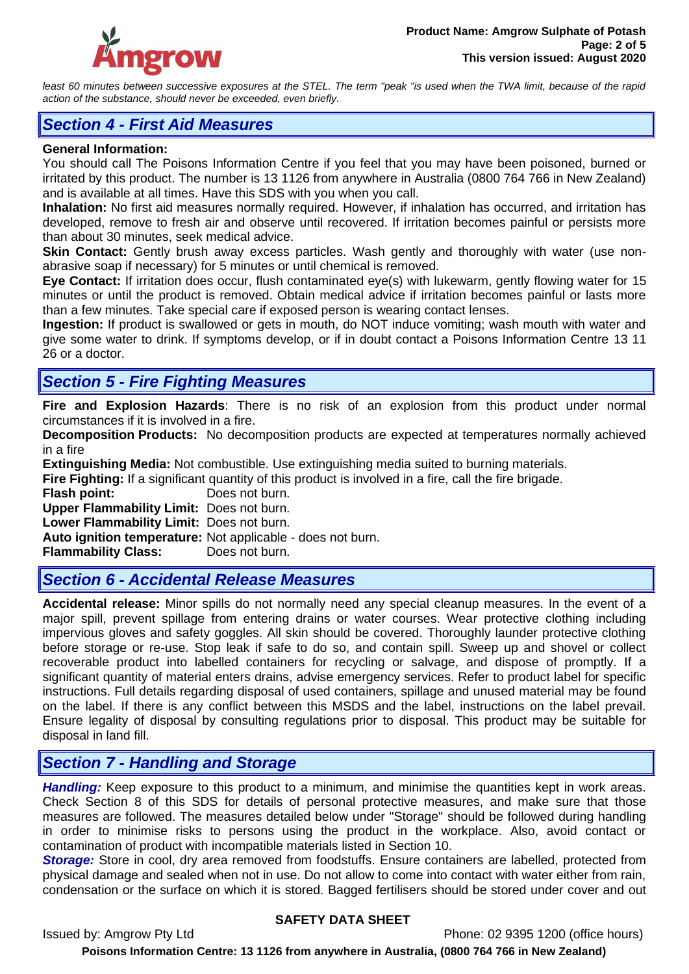

least 60 minutes between successive exposures at the STEL. The term "peak "is used when the TWA limit, because of the rapid *action of the substance, should never be exceeded, even briefly.*

## *Section 4 - First Aid Measures*

#### **General Information:**

You should call The Poisons Information Centre if you feel that you may have been poisoned, burned or irritated by this product. The number is 13 1126 from anywhere in Australia (0800 764 766 in New Zealand) and is available at all times. Have this SDS with you when you call.

**Inhalation:** No first aid measures normally required. However, if inhalation has occurred, and irritation has developed, remove to fresh air and observe until recovered. If irritation becomes painful or persists more than about 30 minutes, seek medical advice.

**Skin Contact:** Gently brush away excess particles. Wash gently and thoroughly with water (use nonabrasive soap if necessary) for 5 minutes or until chemical is removed.

**Eye Contact:** If irritation does occur, flush contaminated eye(s) with lukewarm, gently flowing water for 15 minutes or until the product is removed. Obtain medical advice if irritation becomes painful or lasts more than a few minutes. Take special care if exposed person is wearing contact lenses.

**Ingestion:** If product is swallowed or gets in mouth, do NOT induce vomiting; wash mouth with water and give some water to drink. If symptoms develop, or if in doubt contact a Poisons Information Centre 13 11 26 or a doctor.

# *Section 5 - Fire Fighting Measures*

**Fire and Explosion Hazards**: There is no risk of an explosion from this product under normal circumstances if it is involved in a fire.

**Decomposition Products:** No decomposition products are expected at temperatures normally achieved in a fire

**Extinguishing Media:** Not combustible. Use extinguishing media suited to burning materials.

**Fire Fighting:** If a significant quantity of this product is involved in a fire, call the fire brigade.

**Flash point:** Does not burn.

**Upper Flammability Limit:** Does not burn.

**Lower Flammability Limit:** Does not burn.

**Auto ignition temperature:** Not applicable - does not burn.

**Flammability Class:** Does not burn.

## *Section 6 - Accidental Release Measures*

**Accidental release:** Minor spills do not normally need any special cleanup measures. In the event of a major spill, prevent spillage from entering drains or water courses. Wear protective clothing including impervious gloves and safety goggles. All skin should be covered. Thoroughly launder protective clothing before storage or re-use. Stop leak if safe to do so, and contain spill. Sweep up and shovel or collect recoverable product into labelled containers for recycling or salvage, and dispose of promptly. If a significant quantity of material enters drains, advise emergency services. Refer to product label for specific instructions. Full details regarding disposal of used containers, spillage and unused material may be found on the label. If there is any conflict between this MSDS and the label, instructions on the label prevail. Ensure legality of disposal by consulting regulations prior to disposal. This product may be suitable for disposal in land fill.

# *Section 7 - Handling and Storage*

*Handling:* Keep exposure to this product to a minimum, and minimise the quantities kept in work areas. Check Section 8 of this SDS for details of personal protective measures, and make sure that those measures are followed. The measures detailed below under "Storage" should be followed during handling in order to minimise risks to persons using the product in the workplace. Also, avoid contact or contamination of product with incompatible materials listed in Section 10.

*Storage:* Store in cool, dry area removed from foodstuffs. Ensure containers are labelled, protected from physical damage and sealed when not in use. Do not allow to come into contact with water either from rain, condensation or the surface on which it is stored. Bagged fertilisers should be stored under cover and out

## **SAFETY DATA SHEET**

Issued by: Amgrow Pty Ltd Phone: 02 9395 1200 (office hours)

**Poisons Information Centre: 13 1126 from anywhere in Australia, (0800 764 766 in New Zealand)**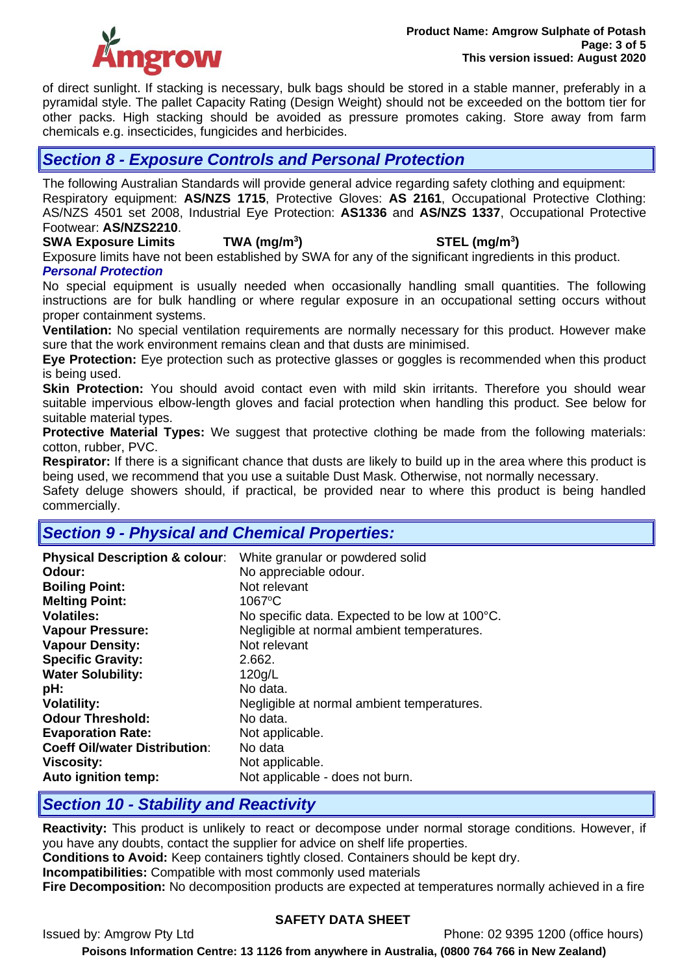

of direct sunlight. If stacking is necessary, bulk bags should be stored in a stable manner, preferably in a pyramidal style. The pallet Capacity Rating (Design Weight) should not be exceeded on the bottom tier for other packs. High stacking should be avoided as pressure promotes caking. Store away from farm chemicals e.g. insecticides, fungicides and herbicides.

## *Section 8 - Exposure Controls and Personal Protection*

The following Australian Standards will provide general advice regarding safety clothing and equipment: Respiratory equipment: **AS/NZS 1715**, Protective Gloves: **AS 2161**, Occupational Protective Clothing: AS/NZS 4501 set 2008, Industrial Eye Protection: **AS1336** and **AS/NZS 1337**, Occupational Protective Footwear: **AS/NZS2210**.

**SWA Exposure Limits TWA (mg/m<sup>3</sup>**

## **) STEL (mg/m<sup>3</sup> )**

Exposure limits have not been established by SWA for any of the significant ingredients in this product.

*Personal Protection*

No special equipment is usually needed when occasionally handling small quantities. The following instructions are for bulk handling or where regular exposure in an occupational setting occurs without proper containment systems.

**Ventilation:** No special ventilation requirements are normally necessary for this product. However make sure that the work environment remains clean and that dusts are minimised.

**Eye Protection:** Eye protection such as protective glasses or goggles is recommended when this product is being used.

**Skin Protection:** You should avoid contact even with mild skin irritants. Therefore you should wear suitable impervious elbow-length gloves and facial protection when handling this product. See below for suitable material types.

**Protective Material Types:** We suggest that protective clothing be made from the following materials: cotton, rubber, PVC.

**Respirator:** If there is a significant chance that dusts are likely to build up in the area where this product is being used, we recommend that you use a suitable Dust Mask. Otherwise, not normally necessary.

Safety deluge showers should, if practical, be provided near to where this product is being handled commercially.

# *Section 9 - Physical and Chemical Properties:*

| <b>Physical Description &amp; colour:</b><br>Odour:<br><b>Boiling Point:</b><br><b>Melting Point:</b><br><b>Volatiles:</b><br><b>Vapour Pressure:</b><br><b>Vapour Density:</b><br><b>Specific Gravity:</b><br><b>Water Solubility:</b><br>pH:<br><b>Volatility:</b><br><b>Odour Threshold:</b><br><b>Evaporation Rate:</b><br><b>Coeff Oil/water Distribution:</b><br><b>Viscosity:</b> | No appreciable odour.<br>Not relevant<br>$1067$ °C<br>No specific data. Expected to be low at 100°C.<br>Negligible at normal ambient temperatures.<br>Not relevant<br>2.662.<br>120q/L<br>No data.<br>Negligible at normal ambient temperatures.<br>No data.<br>Not applicable.<br>No data<br>Not applicable. |
|------------------------------------------------------------------------------------------------------------------------------------------------------------------------------------------------------------------------------------------------------------------------------------------------------------------------------------------------------------------------------------------|---------------------------------------------------------------------------------------------------------------------------------------------------------------------------------------------------------------------------------------------------------------------------------------------------------------|
| Auto ignition temp:                                                                                                                                                                                                                                                                                                                                                                      | Not applicable - does not burn.                                                                                                                                                                                                                                                                               |

# *Section 10 - Stability and Reactivity*

**Reactivity:** This product is unlikely to react or decompose under normal storage conditions. However, if you have any doubts, contact the supplier for advice on shelf life properties.

**Conditions to Avoid:** Keep containers tightly closed. Containers should be kept dry.

**Incompatibilities:** Compatible with most commonly used materials

**Fire Decomposition:** No decomposition products are expected at temperatures normally achieved in a fire

## **SAFETY DATA SHEET**

Issued by: Amgrow Pty Ltd Phone: 02 9395 1200 (office hours)

**Poisons Information Centre: 13 1126 from anywhere in Australia, (0800 764 766 in New Zealand)**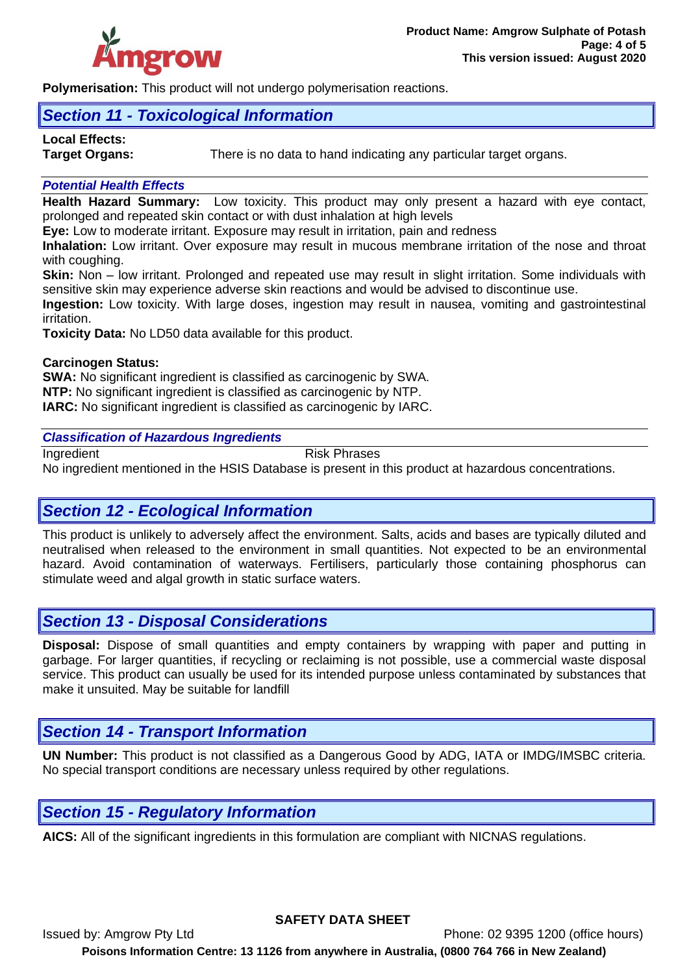

**Polymerisation:** This product will not undergo polymerisation reactions.

# *Section 11 - Toxicological Information*

# **Local Effects:**

**Target Organs:** There is no data to hand indicating any particular target organs.

## *Potential Health Effects*

**Health Hazard Summary:** Low toxicity. This product may only present a hazard with eye contact, prolonged and repeated skin contact or with dust inhalation at high levels

**Eye:** Low to moderate irritant. Exposure may result in irritation, pain and redness

**Inhalation:** Low irritant. Over exposure may result in mucous membrane irritation of the nose and throat with coughing.

**Skin:** Non – low irritant. Prolonged and repeated use may result in slight irritation. Some individuals with sensitive skin may experience adverse skin reactions and would be advised to discontinue use.

**Ingestion:** Low toxicity. With large doses, ingestion may result in nausea, vomiting and gastrointestinal irritation.

**Toxicity Data:** No LD50 data available for this product.

## **Carcinogen Status:**

**SWA:** No significant ingredient is classified as carcinogenic by SWA. **NTP:** No significant ingredient is classified as carcinogenic by NTP. **IARC:** No significant ingredient is classified as carcinogenic by IARC.

## *Classification of Hazardous Ingredients*

Ingredient **Risk Phrases** No ingredient mentioned in the HSIS Database is present in this product at hazardous concentrations.

# *Section 12 - Ecological Information*

This product is unlikely to adversely affect the environment. Salts, acids and bases are typically diluted and neutralised when released to the environment in small quantities. Not expected to be an environmental hazard. Avoid contamination of waterways. Fertilisers, particularly those containing phosphorus can stimulate weed and algal growth in static surface waters.

## *Section 13 - Disposal Considerations*

**Disposal:** Dispose of small quantities and empty containers by wrapping with paper and putting in garbage. For larger quantities, if recycling or reclaiming is not possible, use a commercial waste disposal service. This product can usually be used for its intended purpose unless contaminated by substances that make it unsuited. May be suitable for landfill

# *Section 14 - Transport Information*

**UN Number:** This product is not classified as a Dangerous Good by ADG, IATA or IMDG/IMSBC criteria. No special transport conditions are necessary unless required by other regulations.

## *Section 15 - Regulatory Information*

**AICS:** All of the significant ingredients in this formulation are compliant with NICNAS regulations.

**SAFETY DATA SHEET**

Issued by: Amgrow Pty Ltd Phone: 02 9395 1200 (office hours) **Poisons Information Centre: 13 1126 from anywhere in Australia, (0800 764 766 in New Zealand)**